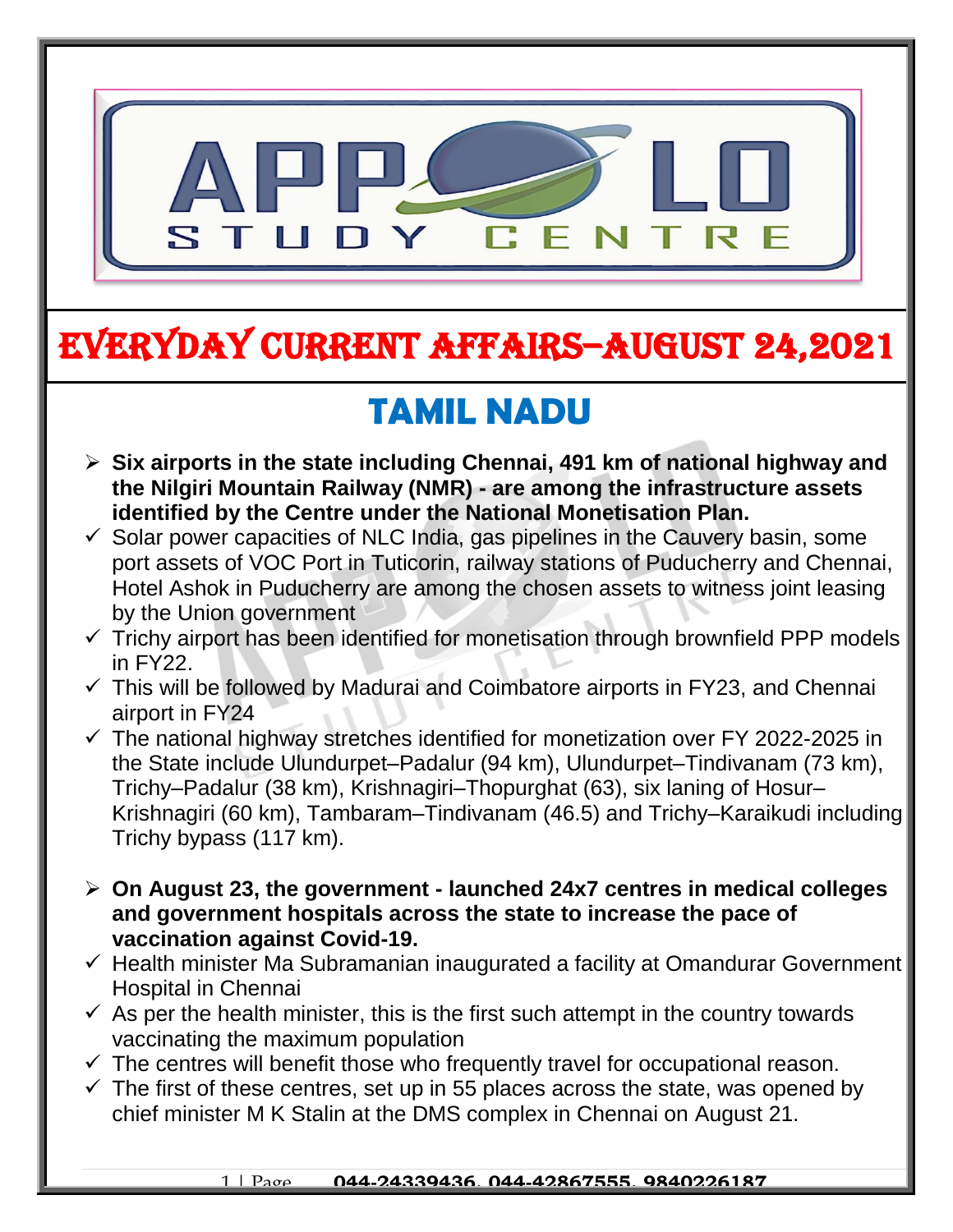

# EVERYDAY CURRENT AFFAIRS–AUGUST 24,2021

-

## **TAMIL NADU**

- **Six airports in the state including Chennai, 491 km of national highway and the Nilgiri Mountain Railway (NMR) - are among the infrastructure assets identified by the Centre under the National Monetisation Plan.**
- $\checkmark$  Solar power capacities of NLC India, gas pipelines in the Cauvery basin, some port assets of VOC Port in Tuticorin, railway stations of Puducherry and Chennai, Hotel Ashok in Puducherry are among the chosen assets to witness joint leasing by the Union government
- $\checkmark$  Trichy airport has been identified for monetisation through brownfield PPP models in FY22.
- $\checkmark$  This will be followed by Madurai and Coimbatore airports in FY23, and Chennai airport in FY24
- $\checkmark$  The national highway stretches identified for monetization over FY 2022-2025 in the State include Ulundurpet–Padalur (94 km), Ulundurpet–Tindivanam (73 km), Trichy–Padalur (38 km), Krishnagiri–Thopurghat (63), six laning of Hosur– Krishnagiri (60 km), Tambaram–Tindivanam (46.5) and Trichy–Karaikudi including Trichy bypass (117 km).
- **On August 23, the government - launched 24x7 centres in medical colleges and government hospitals across the state to increase the pace of vaccination against Covid-19.**
- $\checkmark$  Health minister Ma Subramanian inaugurated a facility at Omandurar Government Hospital in Chennai
- $\checkmark$  As per the health minister, this is the first such attempt in the country towards vaccinating the maximum population
- $\checkmark$  The centres will benefit those who frequently travel for occupational reason.
- $\checkmark$  The first of these centres, set up in 55 places across the state, was opened by chief minister M K Stalin at the DMS complex in Chennai on August 21.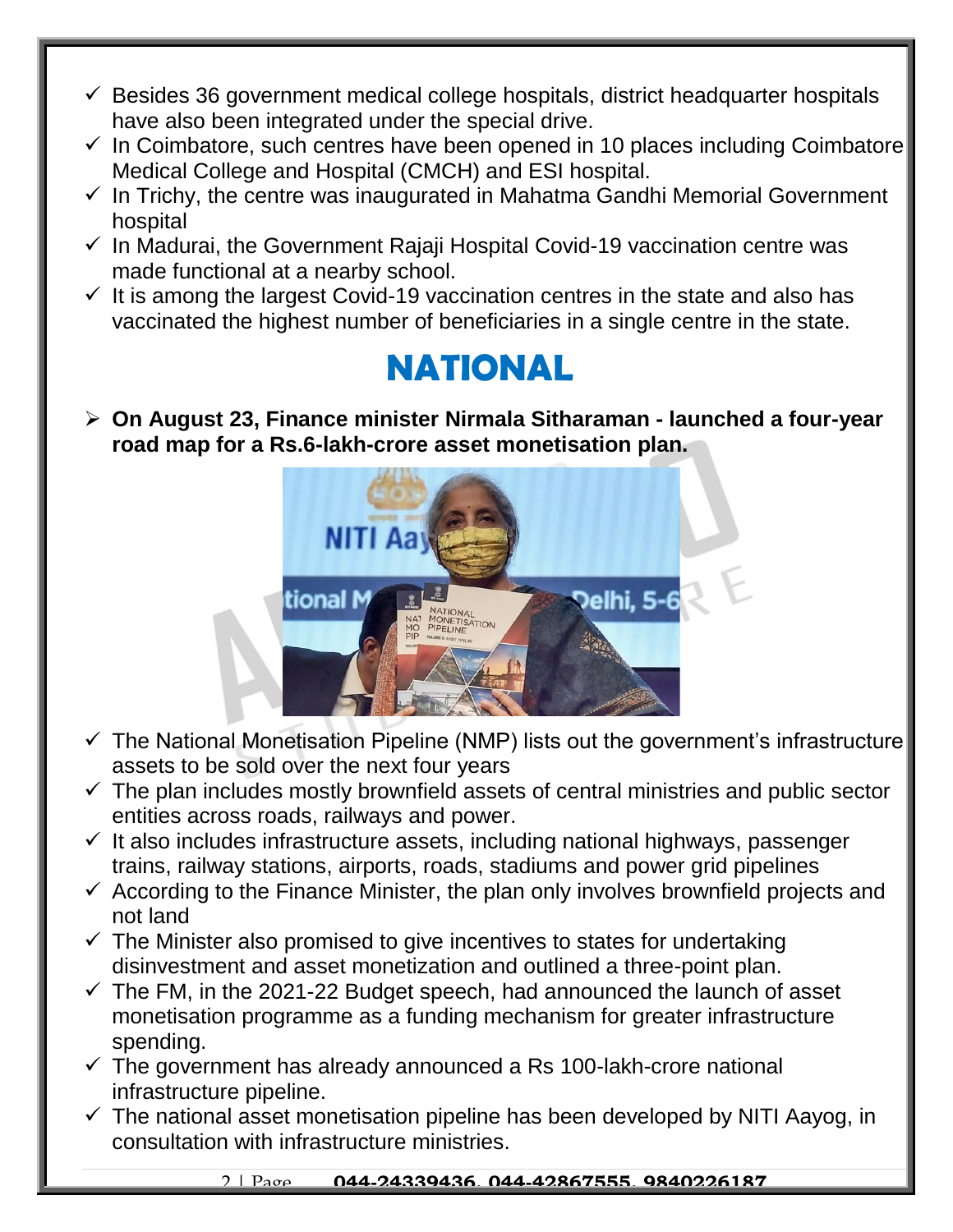- $\checkmark$  Besides 36 government medical college hospitals, district headquarter hospitals have also been integrated under the special drive.
- $\checkmark$  In Coimbatore, such centres have been opened in 10 places including Coimbatore Medical College and Hospital (CMCH) and ESI hospital.
- $\checkmark$  In Trichy, the centre was inaugurated in Mahatma Gandhi Memorial Government hospital
- $\checkmark$  In Madurai, the Government Rajaji Hospital Covid-19 vaccination centre was made functional at a nearby school.
- $\checkmark$  It is among the largest Covid-19 vaccination centres in the state and also has vaccinated the highest number of beneficiaries in a single centre in the state.

### **NATIONAL**

 **On August 23, Finance minister Nirmala Sitharaman - launched a four-year road map for a Rs.6-lakh-crore asset monetisation plan.** 



- $\checkmark$  The National Monetisation Pipeline (NMP) lists out the government's infrastructure assets to be sold over the next four years
- $\checkmark$  The plan includes mostly brownfield assets of central ministries and public sector entities across roads, railways and power.
- $\checkmark$  It also includes infrastructure assets, including national highways, passenger trains, railway stations, airports, roads, stadiums and power grid pipelines
- $\checkmark$  According to the Finance Minister, the plan only involves brownfield projects and not land
- $\checkmark$  The Minister also promised to give incentives to states for undertaking disinvestment and asset monetization and outlined a three-point plan.
- $\checkmark$  The FM, in the 2021-22 Budget speech, had announced the launch of asset monetisation programme as a funding mechanism for greater infrastructure spending.
- $\checkmark$  The government has already announced a Rs 100-lakh-crore national infrastructure pipeline.
- $\checkmark$  The national asset monetisation pipeline has been developed by NITI Aayog, in consultation with infrastructure ministries.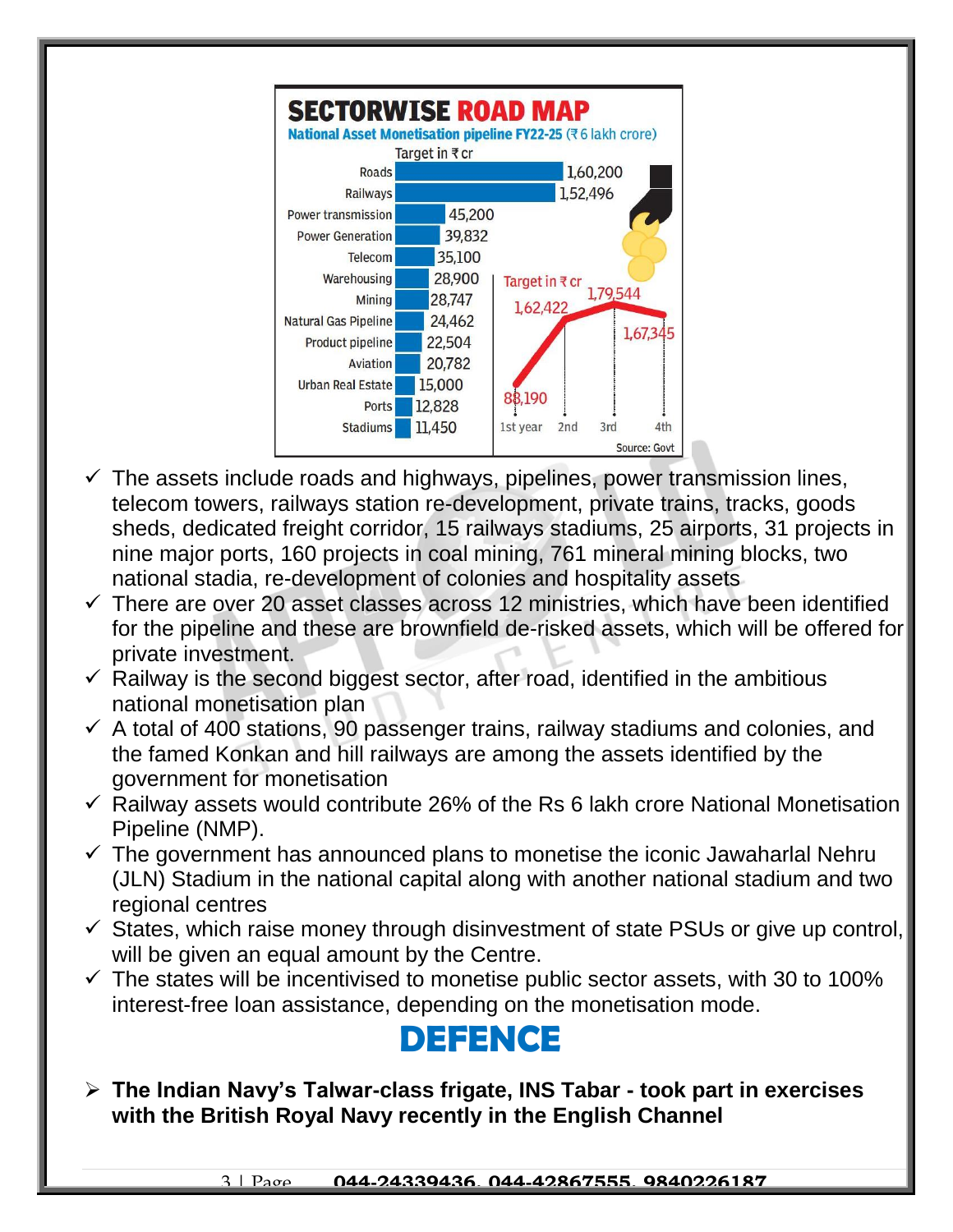

- $\checkmark$  The assets include roads and highways, pipelines, power transmission lines, telecom towers, railways station re-development, private trains, tracks, goods sheds, dedicated freight corridor, 15 railways stadiums, 25 airports, 31 projects in nine major ports, 160 projects in coal mining, 761 mineral mining blocks, two national stadia, re-development of colonies and hospitality assets
- $\checkmark$  There are over 20 asset classes across 12 ministries, which have been identified for the pipeline and these are brownfield de-risked assets, which will be offered for private investment.
- $\checkmark$  Railway is the second biggest sector, after road, identified in the ambitious national monetisation plan
- $\checkmark$  A total of 400 stations, 90 passenger trains, railway stadiums and colonies, and the famed Konkan and hill railways are among the assets identified by the government for monetisation
- $\checkmark$  Railway assets would contribute 26% of the Rs 6 lakh crore National Monetisation Pipeline (NMP).
- $\checkmark$  The government has announced plans to monetise the iconic Jawaharlal Nehru (JLN) Stadium in the national capital along with another national stadium and two regional centres
- $\checkmark$  States, which raise money through disinvestment of state PSUs or give up control, will be given an equal amount by the Centre.
- $\checkmark$  The states will be incentivised to monetise public sector assets, with 30 to 100% interest-free loan assistance, depending on the monetisation mode.

#### **DEFENCE**

 **The Indian Navy's Talwar-class frigate, INS Tabar - took part in exercises with the British Royal Navy recently in the English Channel**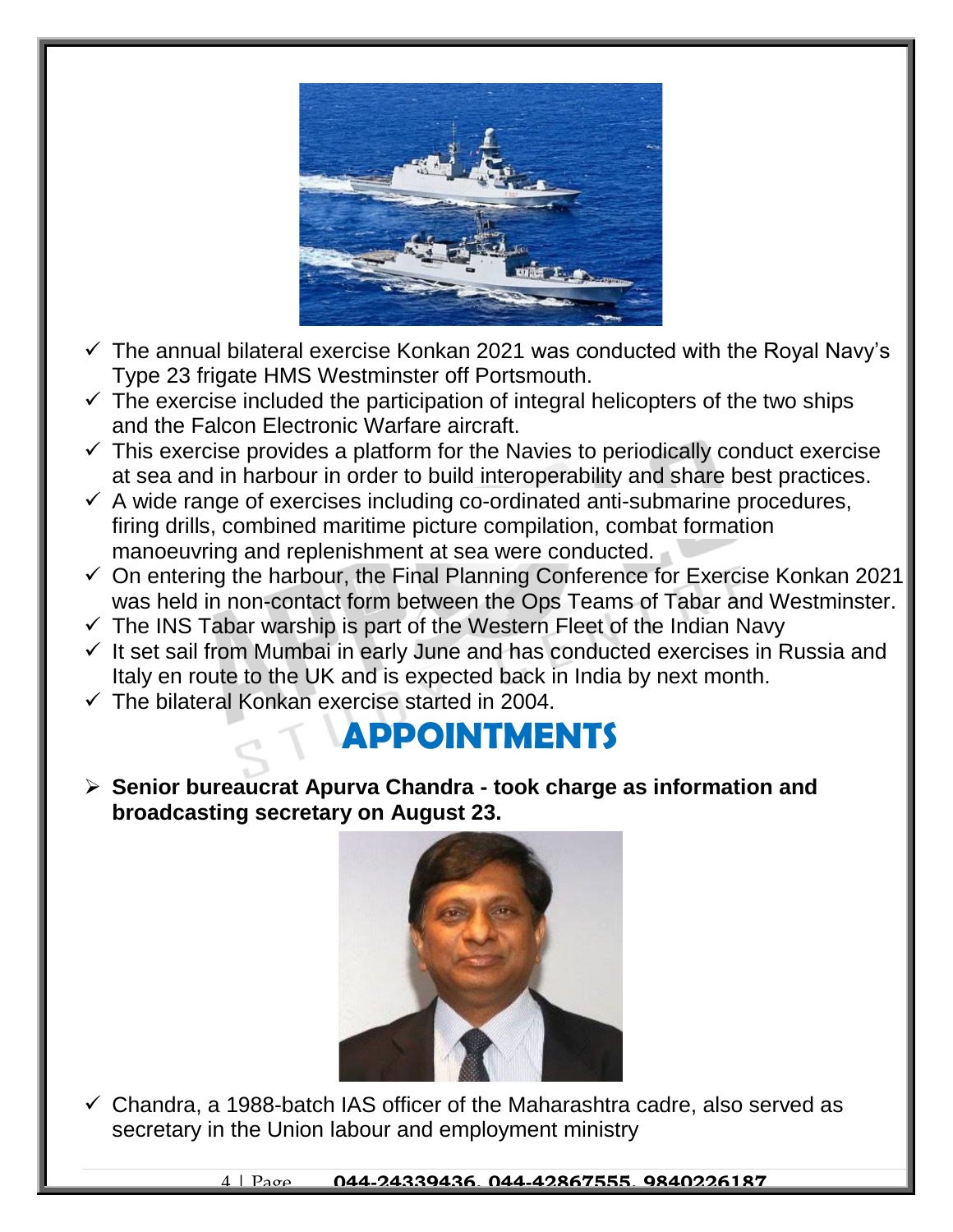

- $\checkmark$  The annual bilateral exercise Konkan 2021 was conducted with the Royal Navy's Type 23 frigate HMS Westminster off Portsmouth.
- $\checkmark$  The exercise included the participation of integral helicopters of the two ships and the Falcon Electronic Warfare aircraft.
- $\checkmark$  This exercise provides a platform for the Navies to periodically conduct exercise at sea and in harbour in order to build interoperability and share best practices.
- $\checkmark$  A wide range of exercises including co-ordinated anti-submarine procedures, firing drills, combined maritime picture compilation, combat formation manoeuvring and replenishment at sea were conducted.
- $\checkmark$  On entering the harbour, the Final Planning Conference for Exercise Konkan 2021 was held in non-contact form between the Ops Teams of Tabar and Westminster.
- $\checkmark$  The INS Tabar warship is part of the Western Fleet of the Indian Navy
- $\checkmark$  It set sail from Mumbai in early June and has conducted exercises in Russia and Italy en route to the UK and is expected back in India by next month.
- $\checkmark$  The bilateral Konkan exercise started in 2004.

### **APPOINTMENTS**

 **Senior bureaucrat Apurva Chandra - took charge as information and broadcasting secretary on August 23.** 



 $\checkmark$  Chandra, a 1988-batch IAS officer of the Maharashtra cadre, also served as secretary in the Union labour and employment ministry